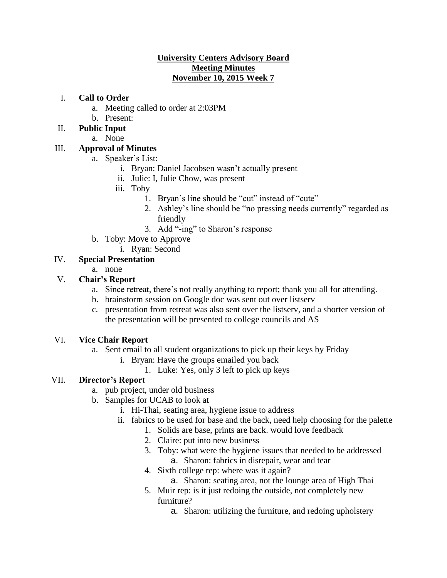### **University Centers Advisory Board Meeting Minutes November 10, 2015 Week 7**

### I. **Call to Order**

- a. Meeting called to order at 2:03PM
- b. Present:
- II. **Public Input** 
	- a. None

## III. **Approval of Minutes**

- a. Speaker's List:
	- i. Bryan: Daniel Jacobsen wasn't actually present
	- ii. Julie: I, Julie Chow, was present
	- iii. Toby
		- 1. Bryan's line should be "cut" instead of "cute"
		- 2. Ashley's line should be "no pressing needs currently" regarded as friendly
		- 3. Add "-ing" to Sharon's response
- b. Toby: Move to Approve
	- i. Ryan: Second

## IV. **Special Presentation**

a. none

# V. **Chair's Report**

- a. Since retreat, there's not really anything to report; thank you all for attending.
- b. brainstorm session on Google doc was sent out over listserv
- c. presentation from retreat was also sent over the listserv, and a shorter version of the presentation will be presented to college councils and AS

## VI. **Vice Chair Report**

- a. Sent email to all student organizations to pick up their keys by Friday
	- i. Bryan: Have the groups emailed you back
		- 1. Luke: Yes, only 3 left to pick up keys

## VII. **Director's Report**

- a. pub project, under old business
- b. Samples for UCAB to look at
	- i. Hi-Thai, seating area, hygiene issue to address
	- ii. fabrics to be used for base and the back, need help choosing for the palette
		- 1. Solids are base, prints are back. would love feedback
			- 2. Claire: put into new business
			- 3. Toby: what were the hygiene issues that needed to be addressed a. Sharon: fabrics in disrepair, wear and tear
			- 4. Sixth college rep: where was it again?
				- a. Sharon: seating area, not the lounge area of High Thai
			- 5. Muir rep: is it just redoing the outside, not completely new furniture?
				- a. Sharon: utilizing the furniture, and redoing upholstery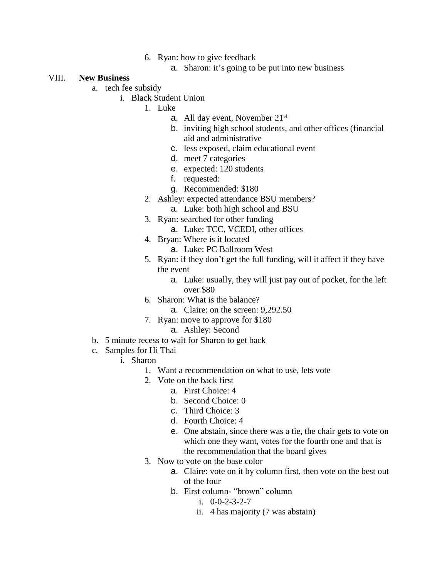- 6. Ryan: how to give feedback
	- a. Sharon: it's going to be put into new business

#### VIII. **New Business**

- a. tech fee subsidy
	- i. Black Student Union
		- 1. Luke
			- a. All day event, November 21st
			- b. inviting high school students, and other offices (financial aid and administrative
			- c. less exposed, claim educational event
			- d. meet 7 categories
			- e. expected: 120 students
			- f. requested:
			- g. Recommended: \$180
			- 2. Ashley: expected attendance BSU members?
				- a. Luke: both high school and BSU
			- 3. Ryan: searched for other funding
				- a. Luke: TCC, VCEDI, other offices
			- 4. Bryan: Where is it located
				- a. Luke: PC Ballroom West
			- 5. Ryan: if they don't get the full funding, will it affect if they have the event
				- a. Luke: usually, they will just pay out of pocket, for the left over \$80
			- 6. Sharon: What is the balance?
				- a. Claire: on the screen: 9,292.50
		- 7. Ryan: move to approve for \$180
			- a. Ashley: Second
- b. 5 minute recess to wait for Sharon to get back
- c. Samples for Hi Thai
	- i. Sharon
		- 1. Want a recommendation on what to use, lets vote
		- 2. Vote on the back first
			- a. First Choice: 4
			- b. Second Choice: 0
			- c. Third Choice: 3
			- d. Fourth Choice: 4
			- e. One abstain, since there was a tie, the chair gets to vote on which one they want, votes for the fourth one and that is the recommendation that the board gives
		- 3. Now to vote on the base color
			- a. Claire: vote on it by column first, then vote on the best out of the four
			- b. First column- "brown" column
				- i. 0-0-2-3-2-7
				- ii. 4 has majority (7 was abstain)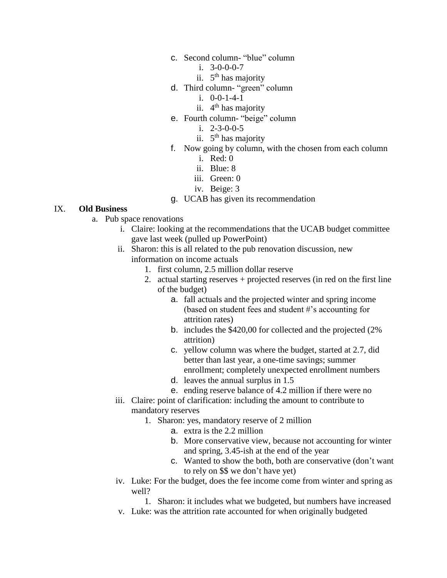- c. Second column- "blue" column
	- i.  $3-0-0-0-7$
	- ii. 5<sup>th</sup> has majority
- d. Third column- "green" column
	- i. 0-0-1-4-1
	- ii. 4<sup>th</sup> has majority
- e. Fourth column- "beige" column
	- i. 2-3-0-0-5
	- ii. 5<sup>th</sup> has majority
- f. Now going by column, with the chosen from each column
	- i. Red: 0
	- ii. Blue: 8
	- iii. Green: 0
	- iv. Beige: 3

#### g. UCAB has given its recommendation

#### IX. **Old Business**

- a. Pub space renovations
	- i. Claire: looking at the recommendations that the UCAB budget committee gave last week (pulled up PowerPoint)
	- ii. Sharon: this is all related to the pub renovation discussion, new information on income actuals
		- 1. first column, 2.5 million dollar reserve
		- 2. actual starting reserves + projected reserves (in red on the first line of the budget)
			- a. fall actuals and the projected winter and spring income (based on student fees and student #'s accounting for attrition rates)
			- b. includes the \$420,00 for collected and the projected (2% attrition)
			- c. yellow column was where the budget, started at 2.7, did better than last year, a one-time savings; summer enrollment; completely unexpected enrollment numbers
			- d. leaves the annual surplus in 1.5
			- e. ending reserve balance of 4.2 million if there were no
	- iii. Claire: point of clarification: including the amount to contribute to mandatory reserves
		- 1. Sharon: yes, mandatory reserve of 2 million
			- a. extra is the 2.2 million
			- b. More conservative view, because not accounting for winter and spring, 3.45-ish at the end of the year
			- c. Wanted to show the both, both are conservative (don't want to rely on \$\$ we don't have yet)
	- iv. Luke: For the budget, does the fee income come from winter and spring as well?

1. Sharon: it includes what we budgeted, but numbers have increased

v. Luke: was the attrition rate accounted for when originally budgeted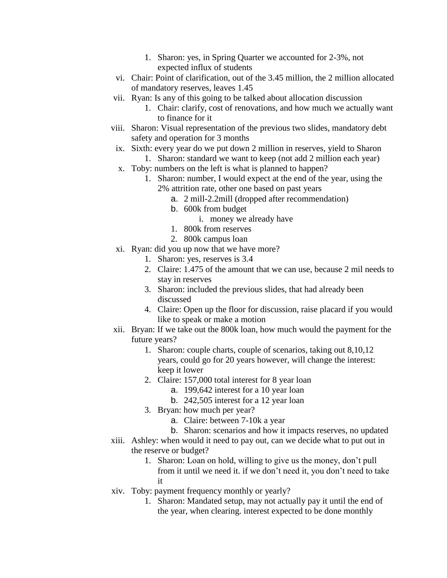- 1. Sharon: yes, in Spring Quarter we accounted for 2-3%, not expected influx of students
- vi. Chair: Point of clarification, out of the 3.45 million, the 2 million allocated of mandatory reserves, leaves 1.45
- vii. Ryan: Is any of this going to be talked about allocation discussion
	- 1. Chair: clarify, cost of renovations, and how much we actually want to finance for it
- viii. Sharon: Visual representation of the previous two slides, mandatory debt safety and operation for 3 months
- ix. Sixth: every year do we put down 2 million in reserves, yield to Sharon
	- 1. Sharon: standard we want to keep (not add 2 million each year)
- x. Toby: numbers on the left is what is planned to happen?
	- 1. Sharon: number, I would expect at the end of the year, using the 2% attrition rate, other one based on past years
		- a. 2 mill-2.2mill (dropped after recommendation)
		- b. 600k from budget
			- i. money we already have
		- 1. 800k from reserves
		- 2. 800k campus loan
- xi. Ryan: did you up now that we have more?
	- 1. Sharon: yes, reserves is 3.4
	- 2. Claire: 1.475 of the amount that we can use, because 2 mil needs to stay in reserves
	- 3. Sharon: included the previous slides, that had already been discussed
	- 4. Claire: Open up the floor for discussion, raise placard if you would like to speak or make a motion
- xii. Bryan: If we take out the 800k loan, how much would the payment for the future years?
	- 1. Sharon: couple charts, couple of scenarios, taking out 8,10,12 years, could go for 20 years however, will change the interest: keep it lower
	- 2. Claire: 157,000 total interest for 8 year loan
		- a. 199,642 interest for a 10 year loan
		- b. 242,505 interest for a 12 year loan
	- 3. Bryan: how much per year?
		- a. Claire: between 7-10k a year
		- b. Sharon: scenarios and how it impacts reserves, no updated
- xiii. Ashley: when would it need to pay out, can we decide what to put out in the reserve or budget?
	- 1. Sharon: Loan on hold, willing to give us the money, don't pull from it until we need it. if we don't need it, you don't need to take it
- xiv. Toby: payment frequency monthly or yearly?
	- 1. Sharon: Mandated setup, may not actually pay it until the end of the year, when clearing. interest expected to be done monthly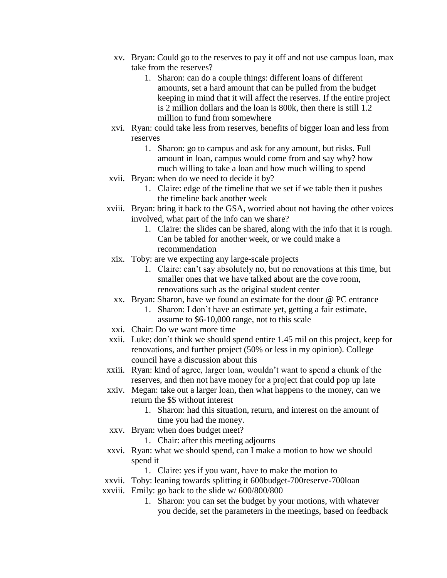- xv. Bryan: Could go to the reserves to pay it off and not use campus loan, max take from the reserves?
	- 1. Sharon: can do a couple things: different loans of different amounts, set a hard amount that can be pulled from the budget keeping in mind that it will affect the reserves. If the entire project is 2 million dollars and the loan is 800k, then there is still 1.2 million to fund from somewhere
- xvi. Ryan: could take less from reserves, benefits of bigger loan and less from reserves
	- 1. Sharon: go to campus and ask for any amount, but risks. Full amount in loan, campus would come from and say why? how much willing to take a loan and how much willing to spend
- xvii. Bryan: when do we need to decide it by?
	- 1. Claire: edge of the timeline that we set if we table then it pushes the timeline back another week
- xviii. Bryan: bring it back to the GSA, worried about not having the other voices involved, what part of the info can we share?
	- 1. Claire: the slides can be shared, along with the info that it is rough. Can be tabled for another week, or we could make a recommendation
- xix. Toby: are we expecting any large-scale projects
	- 1. Claire: can't say absolutely no, but no renovations at this time, but smaller ones that we have talked about are the cove room, renovations such as the original student center
- xx. Bryan: Sharon, have we found an estimate for the door @ PC entrance
	- 1. Sharon: I don't have an estimate yet, getting a fair estimate, assume to \$6-10,000 range, not to this scale
- xxi. Chair: Do we want more time
- xxii. Luke: don't think we should spend entire 1.45 mil on this project, keep for renovations, and further project (50% or less in my opinion). College council have a discussion about this
- xxiii. Ryan: kind of agree, larger loan, wouldn't want to spend a chunk of the reserves, and then not have money for a project that could pop up late
- xxiv. Megan: take out a larger loan, then what happens to the money, can we return the \$\$ without interest
	- 1. Sharon: had this situation, return, and interest on the amount of time you had the money.
- xxv. Bryan: when does budget meet?
	- 1. Chair: after this meeting adjourns
- xxvi. Ryan: what we should spend, can I make a motion to how we should spend it
	- 1. Claire: yes if you want, have to make the motion to
- xxvii. Toby: leaning towards splitting it 600budget-700reserve-700loan
- xxviii. Emily: go back to the slide w/ 600/800/800
	- 1. Sharon: you can set the budget by your motions, with whatever you decide, set the parameters in the meetings, based on feedback